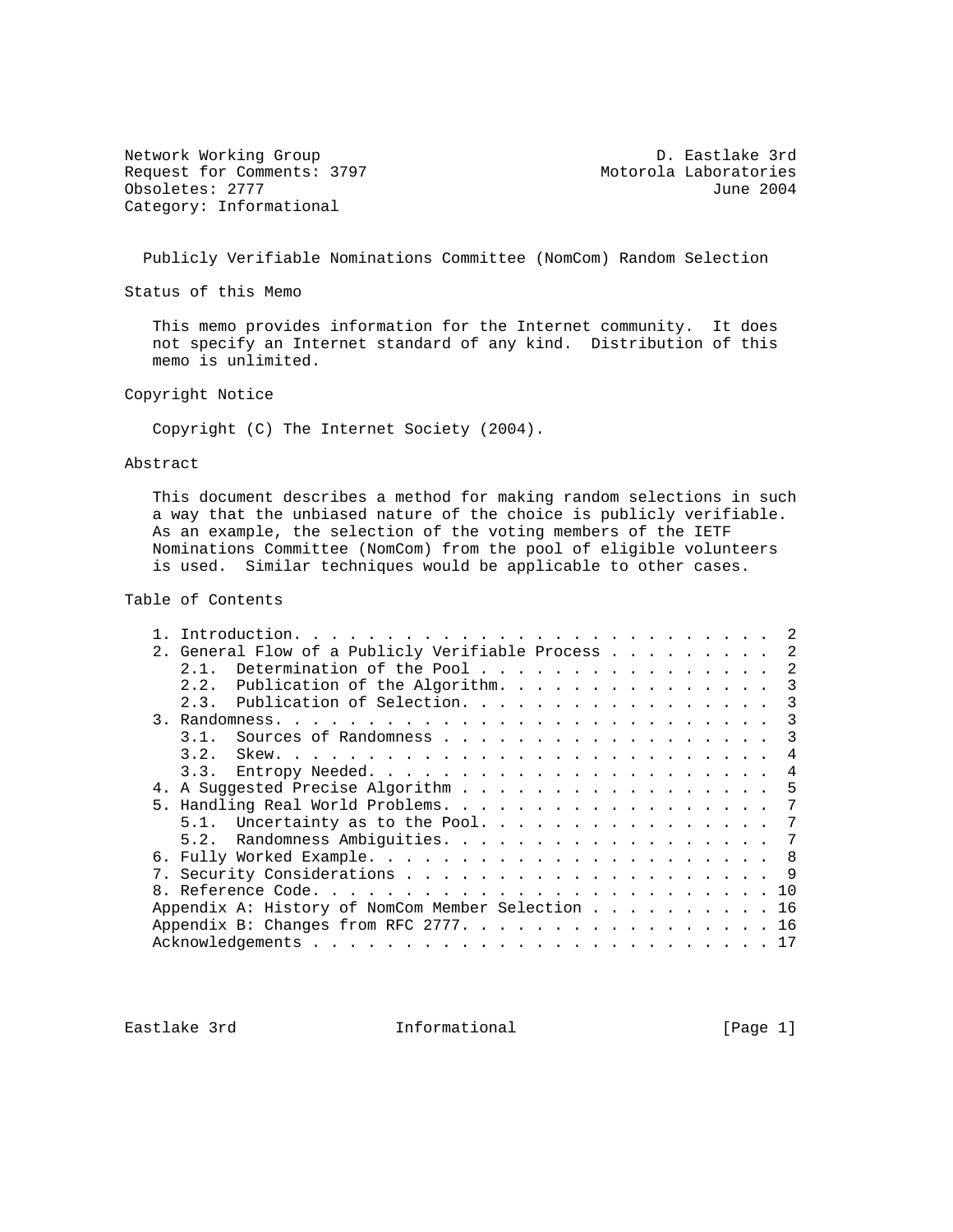Network Working Group D. Eastlake 3rd Request for Comments: 3797 Motorola Laboratories<br>
0bsoletes: 2777 June 2004 Obsoletes: 2777 Category: Informational

Publicly Verifiable Nominations Committee (NomCom) Random Selection

Status of this Memo

 This memo provides information for the Internet community. It does not specify an Internet standard of any kind. Distribution of this memo is unlimited.

Copyright Notice

Copyright (C) The Internet Society (2004).

### Abstract

 This document describes a method for making random selections in such a way that the unbiased nature of the choice is publicly verifiable. As an example, the selection of the voting members of the IETF Nominations Committee (NomCom) from the pool of eligible volunteers is used. Similar techniques would be applicable to other cases.

# Table of Contents

|    | 2. General Flow of a Publicly Verifiable Process  |  |  |  |  |  |  | -2 |
|----|---------------------------------------------------|--|--|--|--|--|--|----|
|    | Determination of the Pool<br>2.1.                 |  |  |  |  |  |  | -2 |
|    | Publication of the Algorithm.<br>2.2.             |  |  |  |  |  |  | 3  |
|    | Publication of Selection.<br>2.3.                 |  |  |  |  |  |  | 3  |
| 3. |                                                   |  |  |  |  |  |  | 3  |
|    | 3.1.<br>Sources of Randomness                     |  |  |  |  |  |  | 3  |
|    | 3.2.                                              |  |  |  |  |  |  | 4  |
|    | 3.3.                                              |  |  |  |  |  |  | 4  |
|    | A Suggested Precise Algorithm                     |  |  |  |  |  |  | 5  |
|    |                                                   |  |  |  |  |  |  | 7  |
|    |                                                   |  |  |  |  |  |  | 7  |
|    | Randomness Ambiguities.<br>5.2.                   |  |  |  |  |  |  | 7  |
| б. |                                                   |  |  |  |  |  |  |    |
|    |                                                   |  |  |  |  |  |  |    |
|    |                                                   |  |  |  |  |  |  |    |
|    | Appendix A: History of NomCom Member Selection 16 |  |  |  |  |  |  |    |
|    | Appendix B: Changes from RFC 2777. 16             |  |  |  |  |  |  |    |
|    |                                                   |  |  |  |  |  |  |    |

Eastlake 3rd **Informational Informational** [Page 1]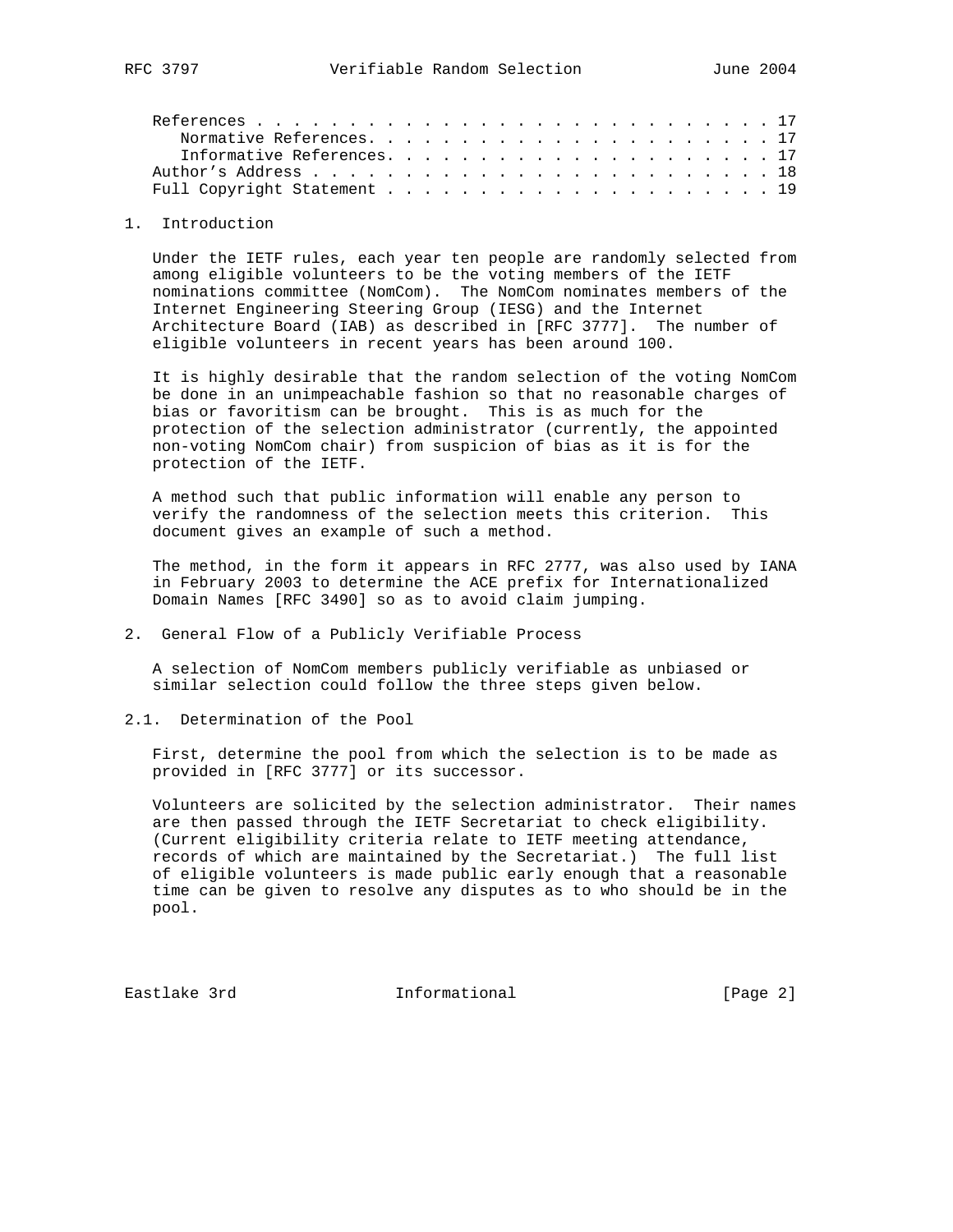## 1. Introduction

 Under the IETF rules, each year ten people are randomly selected from among eligible volunteers to be the voting members of the IETF nominations committee (NomCom). The NomCom nominates members of the Internet Engineering Steering Group (IESG) and the Internet Architecture Board (IAB) as described in [RFC 3777]. The number of eligible volunteers in recent years has been around 100.

 It is highly desirable that the random selection of the voting NomCom be done in an unimpeachable fashion so that no reasonable charges of bias or favoritism can be brought. This is as much for the protection of the selection administrator (currently, the appointed non-voting NomCom chair) from suspicion of bias as it is for the protection of the IETF.

 A method such that public information will enable any person to verify the randomness of the selection meets this criterion. This document gives an example of such a method.

 The method, in the form it appears in RFC 2777, was also used by IANA in February 2003 to determine the ACE prefix for Internationalized Domain Names [RFC 3490] so as to avoid claim jumping.

## 2. General Flow of a Publicly Verifiable Process

 A selection of NomCom members publicly verifiable as unbiased or similar selection could follow the three steps given below.

2.1. Determination of the Pool

 First, determine the pool from which the selection is to be made as provided in [RFC 3777] or its successor.

 Volunteers are solicited by the selection administrator. Their names are then passed through the IETF Secretariat to check eligibility. (Current eligibility criteria relate to IETF meeting attendance, records of which are maintained by the Secretariat.) The full list of eligible volunteers is made public early enough that a reasonable time can be given to resolve any disputes as to who should be in the pool.

Eastlake 3rd Informational [Page 2]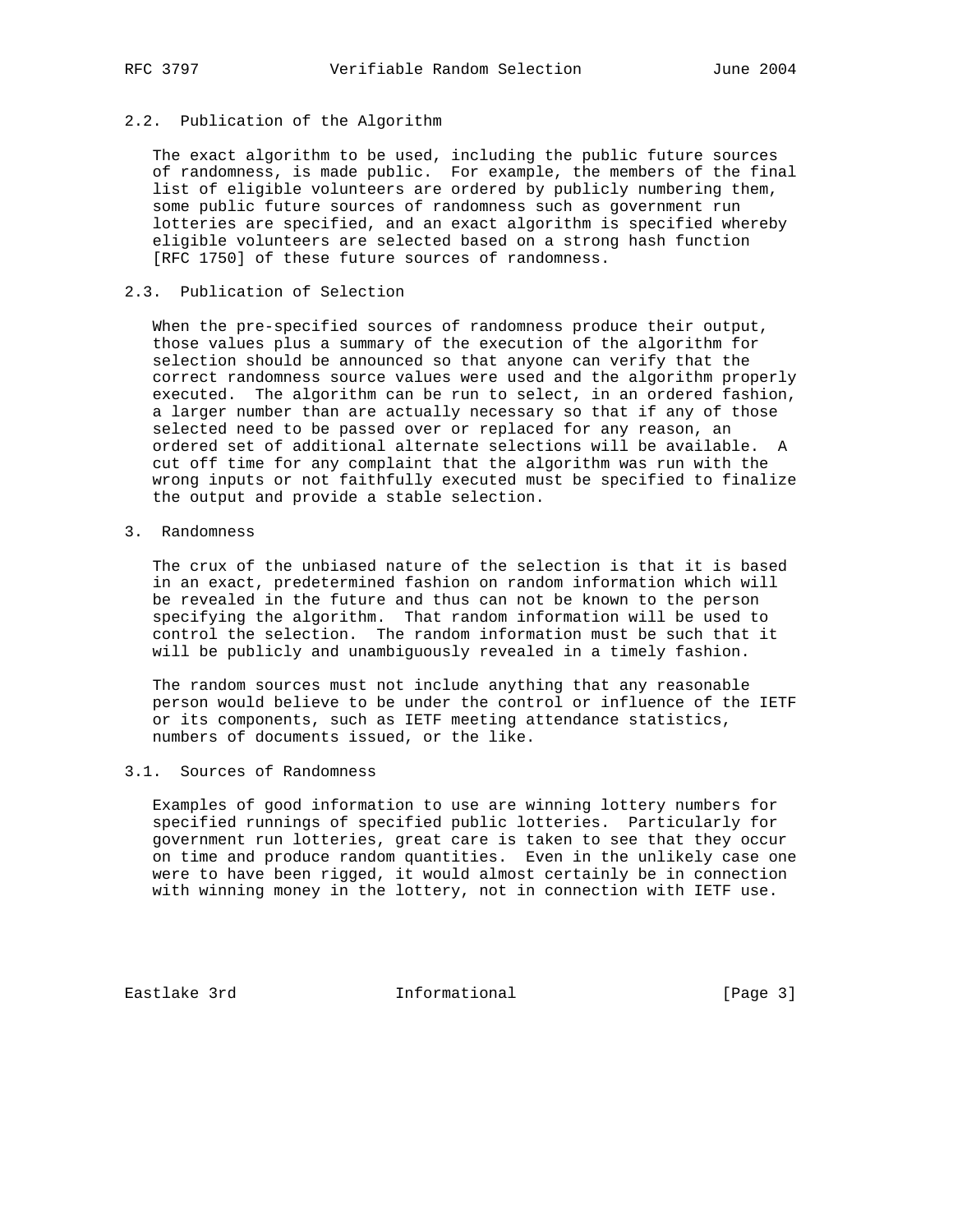# 2.2. Publication of the Algorithm

 The exact algorithm to be used, including the public future sources of randomness, is made public. For example, the members of the final list of eligible volunteers are ordered by publicly numbering them, some public future sources of randomness such as government run lotteries are specified, and an exact algorithm is specified whereby eligible volunteers are selected based on a strong hash function [RFC 1750] of these future sources of randomness.

## 2.3. Publication of Selection

 When the pre-specified sources of randomness produce their output, those values plus a summary of the execution of the algorithm for selection should be announced so that anyone can verify that the correct randomness source values were used and the algorithm properly executed. The algorithm can be run to select, in an ordered fashion, a larger number than are actually necessary so that if any of those selected need to be passed over or replaced for any reason, an ordered set of additional alternate selections will be available. A cut off time for any complaint that the algorithm was run with the wrong inputs or not faithfully executed must be specified to finalize the output and provide a stable selection.

3. Randomness

 The crux of the unbiased nature of the selection is that it is based in an exact, predetermined fashion on random information which will be revealed in the future and thus can not be known to the person specifying the algorithm. That random information will be used to control the selection. The random information must be such that it will be publicly and unambiguously revealed in a timely fashion.

 The random sources must not include anything that any reasonable person would believe to be under the control or influence of the IETF or its components, such as IETF meeting attendance statistics, numbers of documents issued, or the like.

# 3.1. Sources of Randomness

 Examples of good information to use are winning lottery numbers for specified runnings of specified public lotteries. Particularly for government run lotteries, great care is taken to see that they occur on time and produce random quantities. Even in the unlikely case one were to have been rigged, it would almost certainly be in connection with winning money in the lottery, not in connection with IETF use.

Eastlake 3rd **Informational** [Page 3]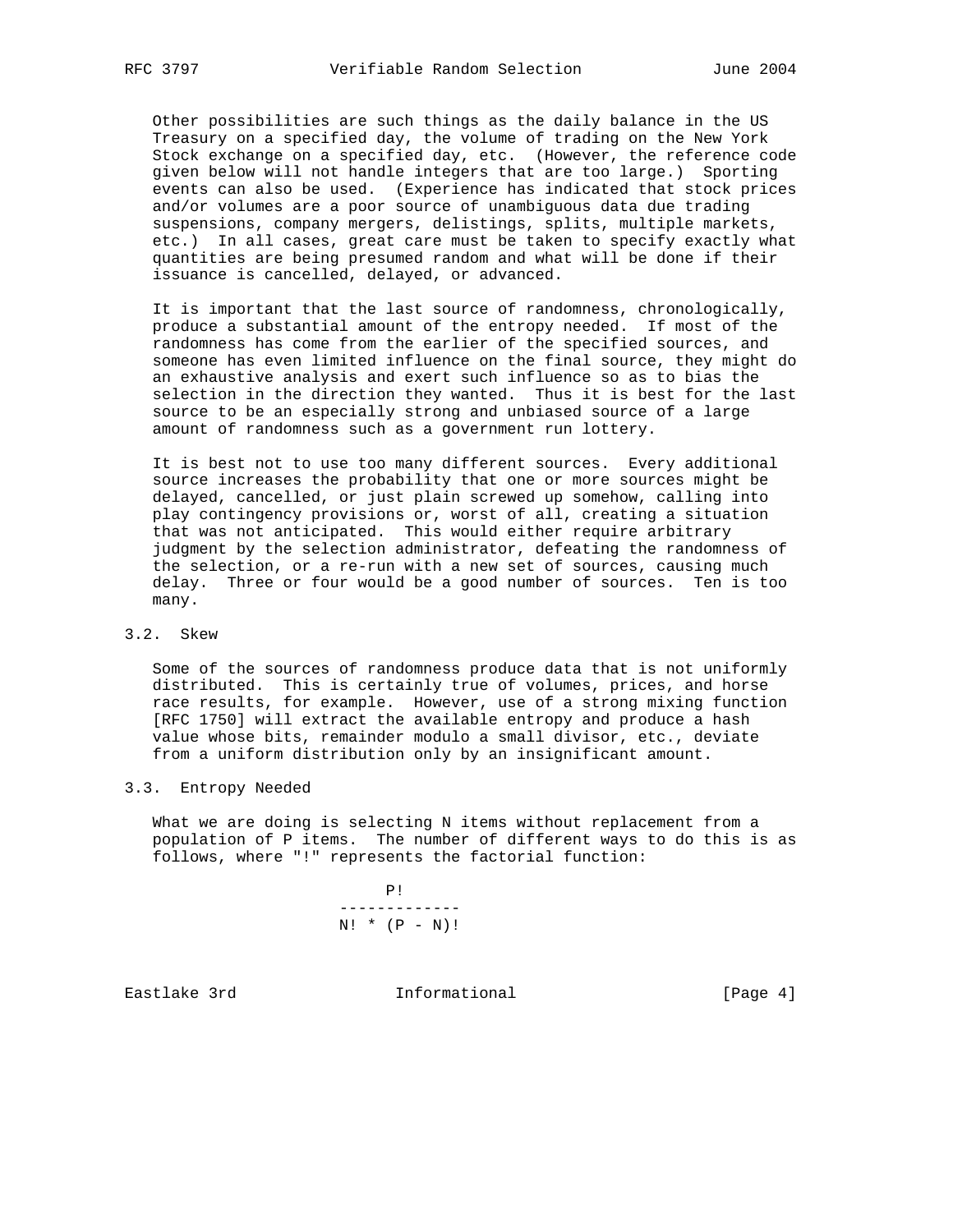Other possibilities are such things as the daily balance in the US Treasury on a specified day, the volume of trading on the New York Stock exchange on a specified day, etc. (However, the reference code given below will not handle integers that are too large.) Sporting events can also be used. (Experience has indicated that stock prices and/or volumes are a poor source of unambiguous data due trading suspensions, company mergers, delistings, splits, multiple markets, etc.) In all cases, great care must be taken to specify exactly what quantities are being presumed random and what will be done if their issuance is cancelled, delayed, or advanced.

 It is important that the last source of randomness, chronologically, produce a substantial amount of the entropy needed. If most of the randomness has come from the earlier of the specified sources, and someone has even limited influence on the final source, they might do an exhaustive analysis and exert such influence so as to bias the selection in the direction they wanted. Thus it is best for the last source to be an especially strong and unbiased source of a large amount of randomness such as a government run lottery.

 It is best not to use too many different sources. Every additional source increases the probability that one or more sources might be delayed, cancelled, or just plain screwed up somehow, calling into play contingency provisions or, worst of all, creating a situation that was not anticipated. This would either require arbitrary judgment by the selection administrator, defeating the randomness of the selection, or a re-run with a new set of sources, causing much delay. Three or four would be a good number of sources. Ten is too many.

## 3.2. Skew

 Some of the sources of randomness produce data that is not uniformly distributed. This is certainly true of volumes, prices, and horse race results, for example. However, use of a strong mixing function [RFC 1750] will extract the available entropy and produce a hash value whose bits, remainder modulo a small divisor, etc., deviate from a uniform distribution only by an insignificant amount.

### 3.3. Entropy Needed

 What we are doing is selecting N items without replacement from a population of P items. The number of different ways to do this is as follows, where "!" represents the factorial function:

> P! -------------  $N!$  \* (P - N)!

Eastlake 3rd **Informational** [Page 4]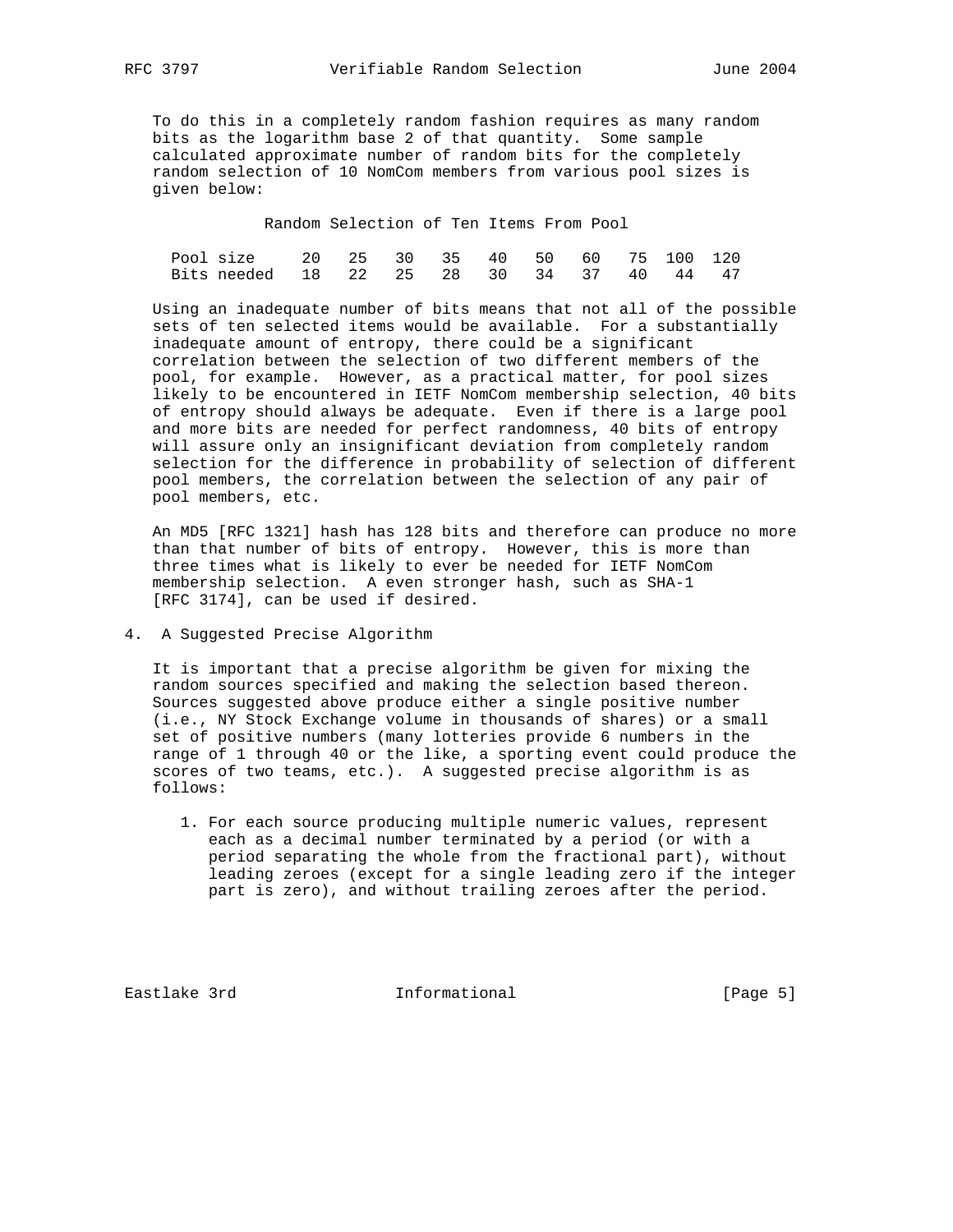To do this in a completely random fashion requires as many random bits as the logarithm base 2 of that quantity. Some sample calculated approximate number of random bits for the completely random selection of 10 NomCom members from various pool sizes is given below:

Random Selection of Ten Items From Pool

| Pool size 20 25 30 35 40 50 60 75 100 120 |  |  |  |  |  |
|-------------------------------------------|--|--|--|--|--|
| Bits needed 18 22 25 28 30 34 37 40 44 47 |  |  |  |  |  |

 Using an inadequate number of bits means that not all of the possible sets of ten selected items would be available. For a substantially inadequate amount of entropy, there could be a significant correlation between the selection of two different members of the pool, for example. However, as a practical matter, for pool sizes likely to be encountered in IETF NomCom membership selection, 40 bits of entropy should always be adequate. Even if there is a large pool and more bits are needed for perfect randomness, 40 bits of entropy will assure only an insignificant deviation from completely random selection for the difference in probability of selection of different pool members, the correlation between the selection of any pair of pool members, etc.

 An MD5 [RFC 1321] hash has 128 bits and therefore can produce no more than that number of bits of entropy. However, this is more than three times what is likely to ever be needed for IETF NomCom membership selection. A even stronger hash, such as SHA-1 [RFC 3174], can be used if desired.

# 4. A Suggested Precise Algorithm

 It is important that a precise algorithm be given for mixing the random sources specified and making the selection based thereon. Sources suggested above produce either a single positive number (i.e., NY Stock Exchange volume in thousands of shares) or a small set of positive numbers (many lotteries provide 6 numbers in the range of 1 through 40 or the like, a sporting event could produce the scores of two teams, etc.). A suggested precise algorithm is as follows:

 1. For each source producing multiple numeric values, represent each as a decimal number terminated by a period (or with a period separating the whole from the fractional part), without leading zeroes (except for a single leading zero if the integer part is zero), and without trailing zeroes after the period.

Eastlake 3rd Informational [Page 5]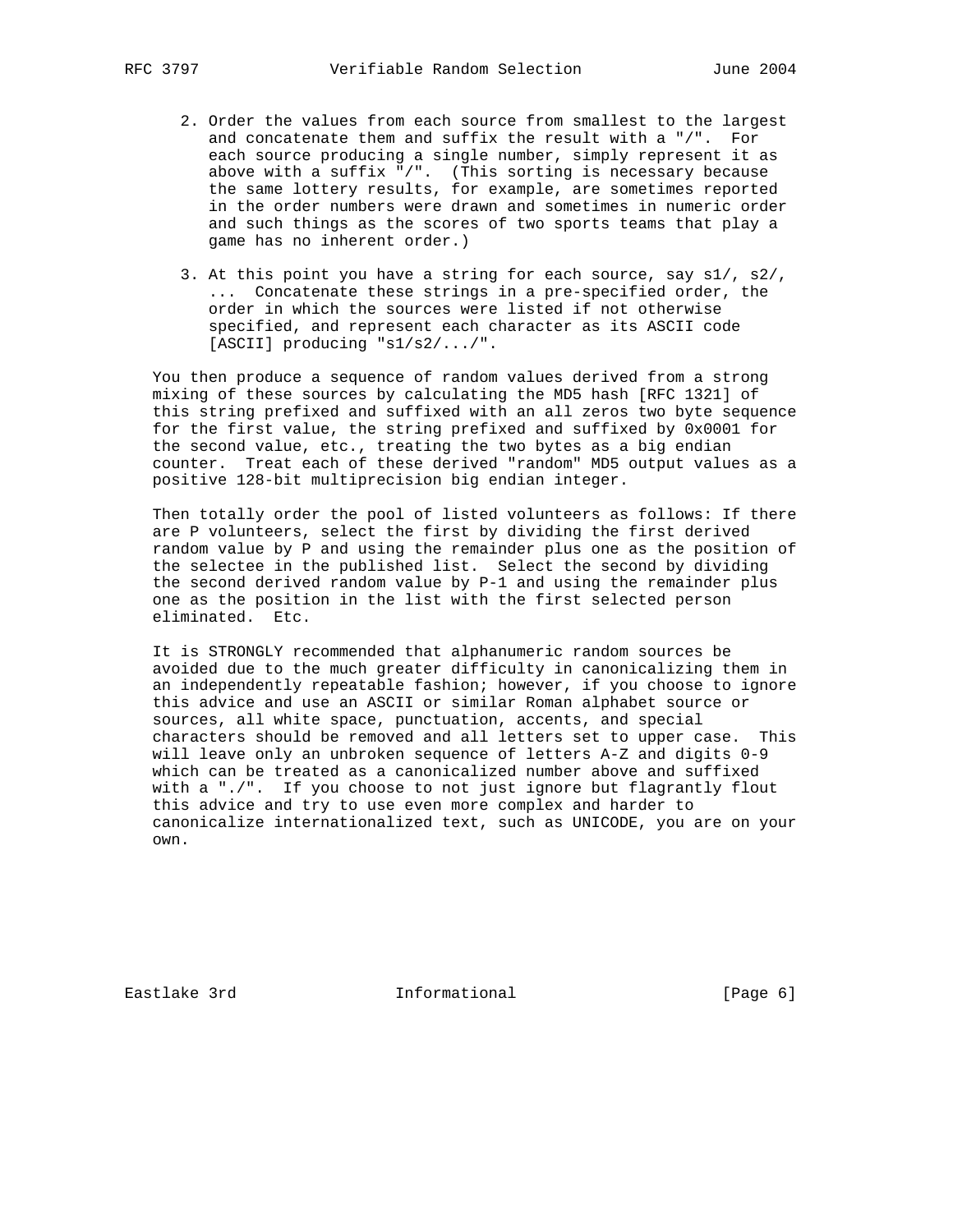- 2. Order the values from each source from smallest to the largest and concatenate them and suffix the result with a "/". For each source producing a single number, simply represent it as above with a suffix "/". (This sorting is necessary because the same lottery results, for example, are sometimes reported in the order numbers were drawn and sometimes in numeric order and such things as the scores of two sports teams that play a game has no inherent order.)
	- 3. At this point you have a string for each source, say s1/, s2/, ... Concatenate these strings in a pre-specified order, the order in which the sources were listed if not otherwise specified, and represent each character as its ASCII code [ASCII] producing "s1/s2/.../".

 You then produce a sequence of random values derived from a strong mixing of these sources by calculating the MD5 hash [RFC 1321] of this string prefixed and suffixed with an all zeros two byte sequence for the first value, the string prefixed and suffixed by 0x0001 for the second value, etc., treating the two bytes as a big endian counter. Treat each of these derived "random" MD5 output values as a positive 128-bit multiprecision big endian integer.

 Then totally order the pool of listed volunteers as follows: If there are P volunteers, select the first by dividing the first derived random value by P and using the remainder plus one as the position of the selectee in the published list. Select the second by dividing the second derived random value by P-1 and using the remainder plus one as the position in the list with the first selected person eliminated. Etc.

 It is STRONGLY recommended that alphanumeric random sources be avoided due to the much greater difficulty in canonicalizing them in an independently repeatable fashion; however, if you choose to ignore this advice and use an ASCII or similar Roman alphabet source or sources, all white space, punctuation, accents, and special characters should be removed and all letters set to upper case. This will leave only an unbroken sequence of letters A-Z and digits 0-9 which can be treated as a canonicalized number above and suffixed with a "./". If you choose to not just ignore but flagrantly flout this advice and try to use even more complex and harder to canonicalize internationalized text, such as UNICODE, you are on your own.

Eastlake 3rd **Informational** [Page 6]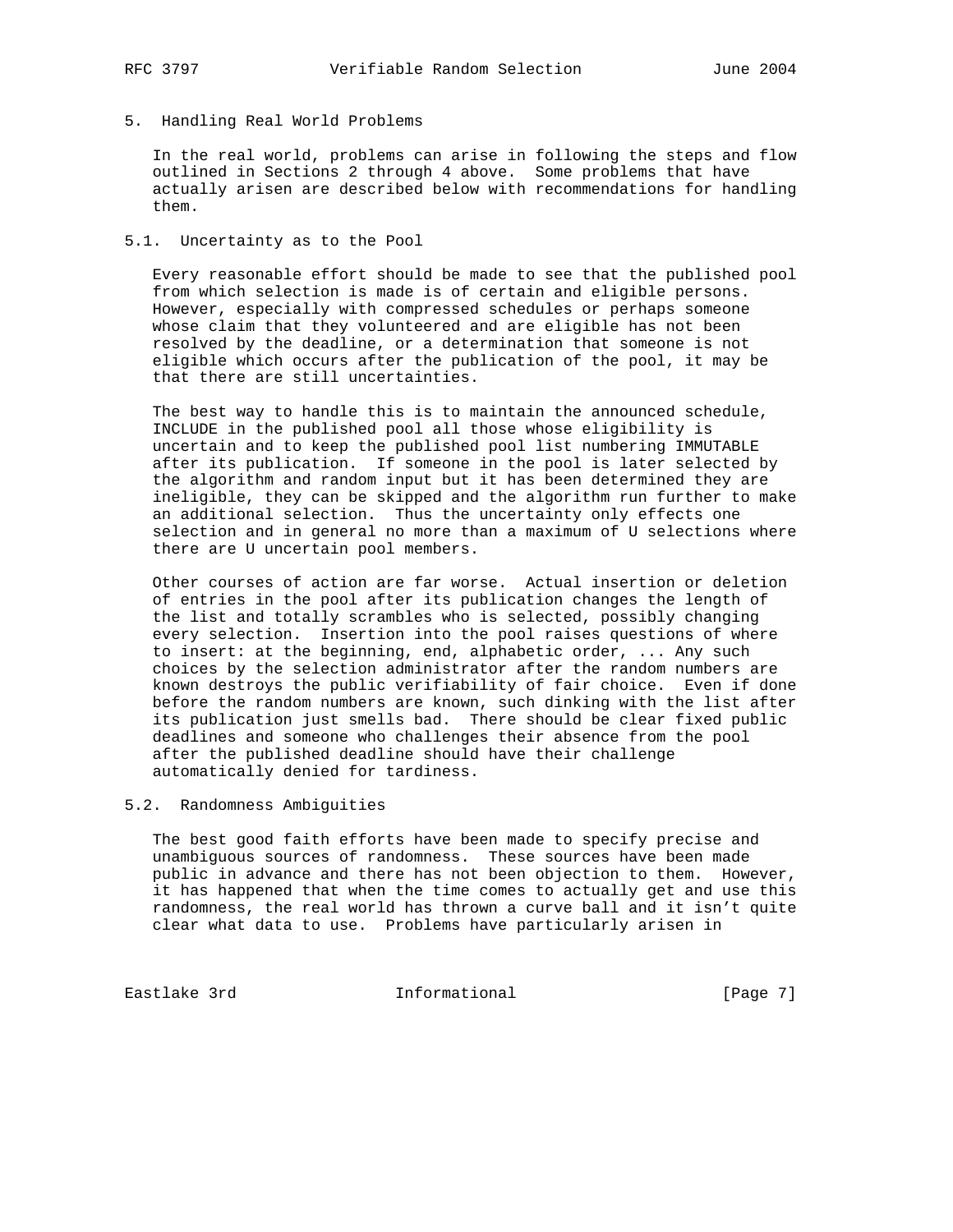# 5. Handling Real World Problems

 In the real world, problems can arise in following the steps and flow outlined in Sections 2 through 4 above. Some problems that have actually arisen are described below with recommendations for handling them.

### 5.1. Uncertainty as to the Pool

 Every reasonable effort should be made to see that the published pool from which selection is made is of certain and eligible persons. However, especially with compressed schedules or perhaps someone whose claim that they volunteered and are eligible has not been resolved by the deadline, or a determination that someone is not eligible which occurs after the publication of the pool, it may be that there are still uncertainties.

 The best way to handle this is to maintain the announced schedule, INCLUDE in the published pool all those whose eligibility is uncertain and to keep the published pool list numbering IMMUTABLE after its publication. If someone in the pool is later selected by the algorithm and random input but it has been determined they are ineligible, they can be skipped and the algorithm run further to make an additional selection. Thus the uncertainty only effects one selection and in general no more than a maximum of U selections where there are U uncertain pool members.

 Other courses of action are far worse. Actual insertion or deletion of entries in the pool after its publication changes the length of the list and totally scrambles who is selected, possibly changing every selection. Insertion into the pool raises questions of where to insert: at the beginning, end, alphabetic order, ... Any such choices by the selection administrator after the random numbers are known destroys the public verifiability of fair choice. Even if done before the random numbers are known, such dinking with the list after its publication just smells bad. There should be clear fixed public deadlines and someone who challenges their absence from the pool after the published deadline should have their challenge automatically denied for tardiness.

## 5.2. Randomness Ambiguities

 The best good faith efforts have been made to specify precise and unambiguous sources of randomness. These sources have been made public in advance and there has not been objection to them. However, it has happened that when the time comes to actually get and use this randomness, the real world has thrown a curve ball and it isn't quite clear what data to use. Problems have particularly arisen in

Eastlake 3rd **Informational** [Page 7]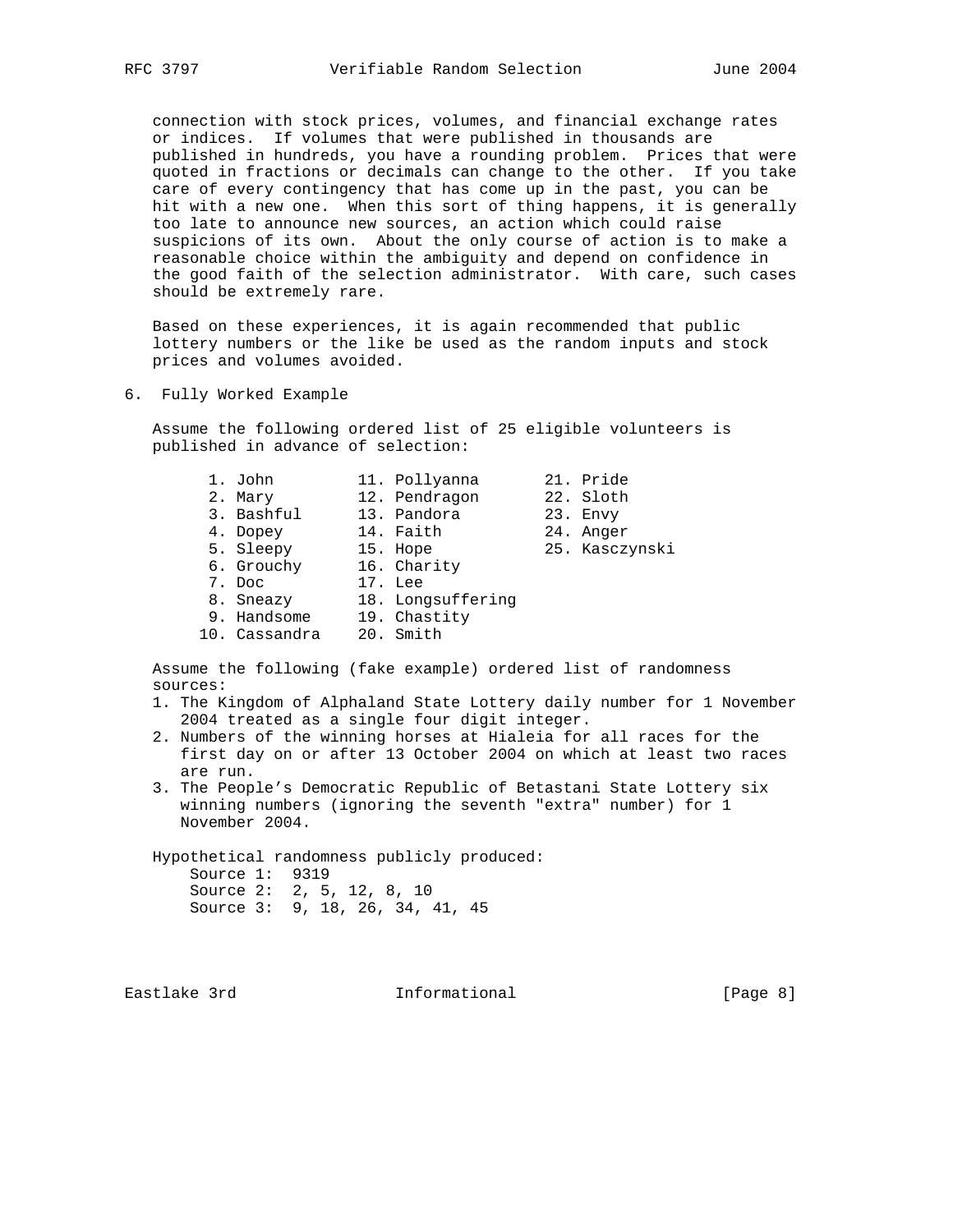connection with stock prices, volumes, and financial exchange rates or indices. If volumes that were published in thousands are published in hundreds, you have a rounding problem. Prices that were quoted in fractions or decimals can change to the other. If you take care of every contingency that has come up in the past, you can be hit with a new one. When this sort of thing happens, it is generally too late to announce new sources, an action which could raise suspicions of its own. About the only course of action is to make a reasonable choice within the ambiguity and depend on confidence in the good faith of the selection administrator. With care, such cases should be extremely rare.

 Based on these experiences, it is again recommended that public lottery numbers or the like be used as the random inputs and stock prices and volumes avoided.

6. Fully Worked Example

 Assume the following ordered list of 25 eligible volunteers is published in advance of selection:

| 1. John       | 11. Pollyanna     | 21. Pride      |
|---------------|-------------------|----------------|
| 2. Mary       | 12. Pendragon     | 22. Sloth      |
| 3. Bashful    | 13. Pandora       | 23. Envy       |
| 4. Dopey      | 14. Faith         | 24. Anger      |
| 5. Sleepy     | 15. Hope          | 25. Kasczynski |
| 6. Grouchy    | 16. Charity       |                |
| 7. Doc        | 17. Lee           |                |
| 8. Sneazy     | 18. Longsuffering |                |
| 9. Handsome   | 19. Chastity      |                |
| 10. Cassandra | 20. Smith         |                |

 Assume the following (fake example) ordered list of randomness sources:

- 1. The Kingdom of Alphaland State Lottery daily number for 1 November 2004 treated as a single four digit integer.
- 2. Numbers of the winning horses at Hialeia for all races for the first day on or after 13 October 2004 on which at least two races are run.
- 3. The People's Democratic Republic of Betastani State Lottery six winning numbers (ignoring the seventh "extra" number) for 1 November 2004.

 Hypothetical randomness publicly produced: Source 1: 9319 Source 2: 2, 5, 12, 8, 10 Source 3: 9, 18, 26, 34, 41, 45

Eastlake 3rd **Informational** [Page 8]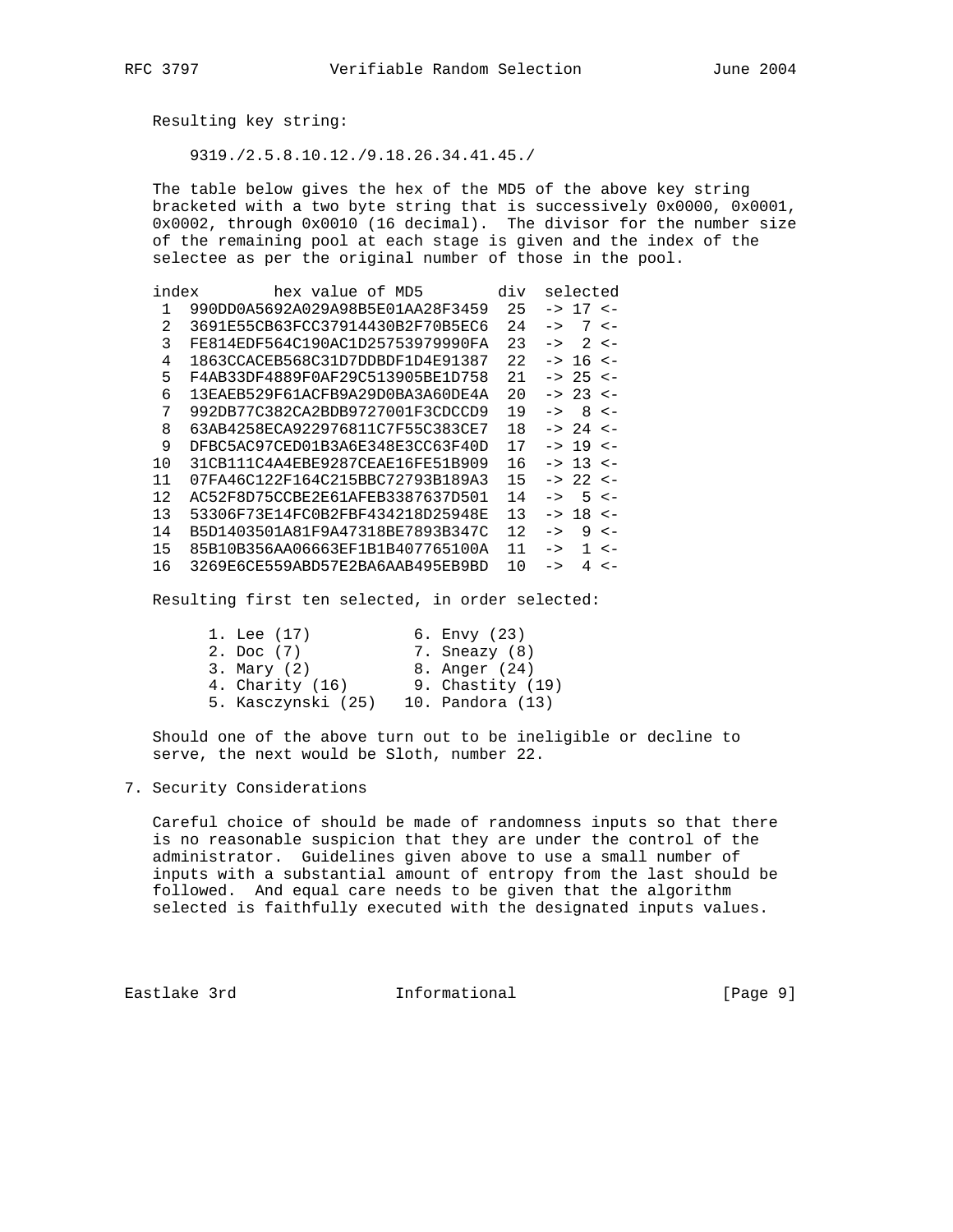Resulting key string:

9319./2.5.8.10.12./9.18.26.34.41.45./

 The table below gives the hex of the MD5 of the above key string bracketed with a two byte string that is successively 0x0000, 0x0001, 0x0002, through 0x0010 (16 decimal). The divisor for the number size of the remaining pool at each stage is given and the index of the selectee as per the original number of those in the pool.

| index | hex value of MD5                 | div | selected                         |
|-------|----------------------------------|-----|----------------------------------|
| 1     | 990DD0A5692A029A98B5E01AA28F3459 | 25  | $17 - -$<br>$\rightarrow$        |
| 2     | 3691E55CB63FCC37914430B2F70B5EC6 | 2.4 | 7<br>$\lt$ $-$<br>$\rightarrow$  |
| 3     | FE814EDF564C190AC1D25753979990FA | 23  | 2<br>$\rightarrow$<br>$\lt$ $-$  |
| 4     | 1863CCACEB568C31D7DDBDF1D4E91387 | 22  | -> 16<br>$\lt$ $-$               |
| 5     | F4AB33DF4889F0AF29C513905BE1D758 | 21  | -> 25 <-                         |
| 6     | 13EAEB529F61ACFB9A29D0BA3A60DE4A | 20  | 23<br>$\lt$ $-$<br>$\rightarrow$ |
| 7     | 992DB77C382CA2BDB9727001F3CDCCD9 | 19  | 8<br>$\lt$ $-$<br>$\rightarrow$  |
| 8     | 63AB4258ECA922976811C7F55C383CE7 | 18  | -> 24<br>$\epsilon$ –            |
| 9     | DFBC5AC97CED01B3A6E348E3CC63F40D | 17  | -> 19<br>$\lt$ $-$               |
| 10    | 31CB111C4A4EBE9287CEAE16FE51B909 | 16  | $\Rightarrow$ 13 <-              |
| 11    | 07FA46C122F164C215BBC72793B189A3 | 15  | $22 < -$<br>$\rightarrow$        |
| 12    | AC52F8D75CCBE2E61AFEB3387637D501 | 14  | 5<br>$\lt$ $-$<br>$\rightarrow$  |
| 13    | 53306F73E14FC0B2FBF434218D25948E | 13  | 18<br>$\lt$ $-$<br>$\rightarrow$ |
| 14    | B5D1403501A81F9A47318BE7893B347C | 12. | 9<br>$\lt$ $-$<br>$\rightarrow$  |
| 15    | 85B10B356AA06663EF1B1B407765100A | 11  | 1<br>$\lt$ $-$<br>$\rightarrow$  |
| 16    | 3269E6CE559ABD57E2BA6AAB495EB9BD | 10  | 4<br>$\lt$ $-$<br>$\rightarrow$  |

Resulting first ten selected, in order selected:

| 1. Lee (17)        | 6. Envy (23)       |
|--------------------|--------------------|
| 2. Doc (7)         | 7. Sneazy (8)      |
| $3.$ Mary $(2)$    | 8. Anger (24)      |
| 4. Charity $(16)$  | 9. Chastity $(19)$ |
| 5. Kasczynski (25) | 10. Pandora (13)   |
|                    |                    |

 Should one of the above turn out to be ineligible or decline to serve, the next would be Sloth, number 22.

### 7. Security Considerations

 Careful choice of should be made of randomness inputs so that there is no reasonable suspicion that they are under the control of the administrator. Guidelines given above to use a small number of inputs with a substantial amount of entropy from the last should be followed. And equal care needs to be given that the algorithm selected is faithfully executed with the designated inputs values.

Eastlake 3rd **Informational** [Page 9]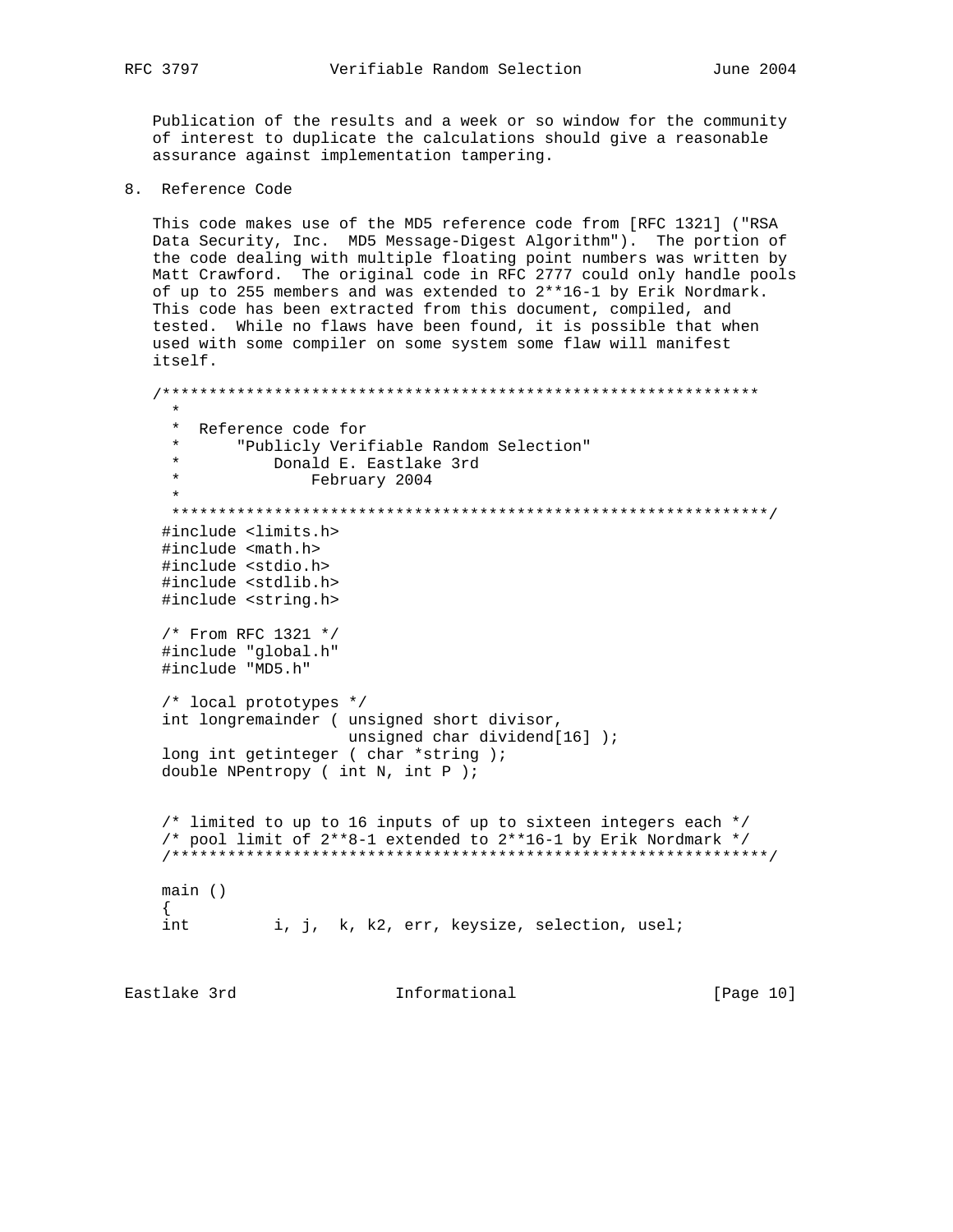Publication of the results and a week or so window for the community of interest to duplicate the calculations should give a reasonable assurance against implementation tampering.

8. Reference Code

 This code makes use of the MD5 reference code from [RFC 1321] ("RSA Data Security, Inc. MD5 Message-Digest Algorithm"). The portion of the code dealing with multiple floating point numbers was written by Matt Crawford. The original code in RFC 2777 could only handle pools of up to 255 members and was extended to 2\*\*16-1 by Erik Nordmark. This code has been extracted from this document, compiled, and tested. While no flaws have been found, it is possible that when used with some compiler on some system some flaw will manifest itself.

 /\*\*\*\*\*\*\*\*\*\*\*\*\*\*\*\*\*\*\*\*\*\*\*\*\*\*\*\*\*\*\*\*\*\*\*\*\*\*\*\*\*\*\*\*\*\*\*\*\*\*\*\*\*\*\*\*\*\*\*\*\*\*\*\* \* \* Reference code for \* "Publicly Verifiable Random Selection" \* Donald E. Eastlake 3rd \* February 2004 \* \*\*\*\*\*\*\*\*\*\*\*\*\*\*\*\*\*\*\*\*\*\*\*\*\*\*\*\*\*\*\*\*\*\*\*\*\*\*\*\*\*\*\*\*\*\*\*\*\*\*\*\*\*\*\*\*\*\*\*\*\*\*\*\*/ #include <limits.h> #include <math.h> #include <stdio.h> #include <stdlib.h> #include <string.h> /\* From RFC 1321 \*/ #include "global.h" #include "MD5.h" /\* local prototypes \*/ int longremainder ( unsigned short divisor, unsigned char dividend[16] ); long int getinteger ( char \*string ); double NPentropy ( int N, int P ); /\* limited to up to 16 inputs of up to sixteen integers each \*/ /\* pool limit of  $2**8-1$  extended to  $2**16-1$  by Erik Nordmark \*/ /\*\*\*\*\*\*\*\*\*\*\*\*\*\*\*\*\*\*\*\*\*\*\*\*\*\*\*\*\*\*\*\*\*\*\*\*\*\*\*\*\*\*\*\*\*\*\*\*\*\*\*\*\*\*\*\*\*\*\*\*\*\*\*\*/ main ()  $\{$ int i, j, k, k2, err, keysize, selection, usel;

Eastlake 3rd **Informational** [Page 10]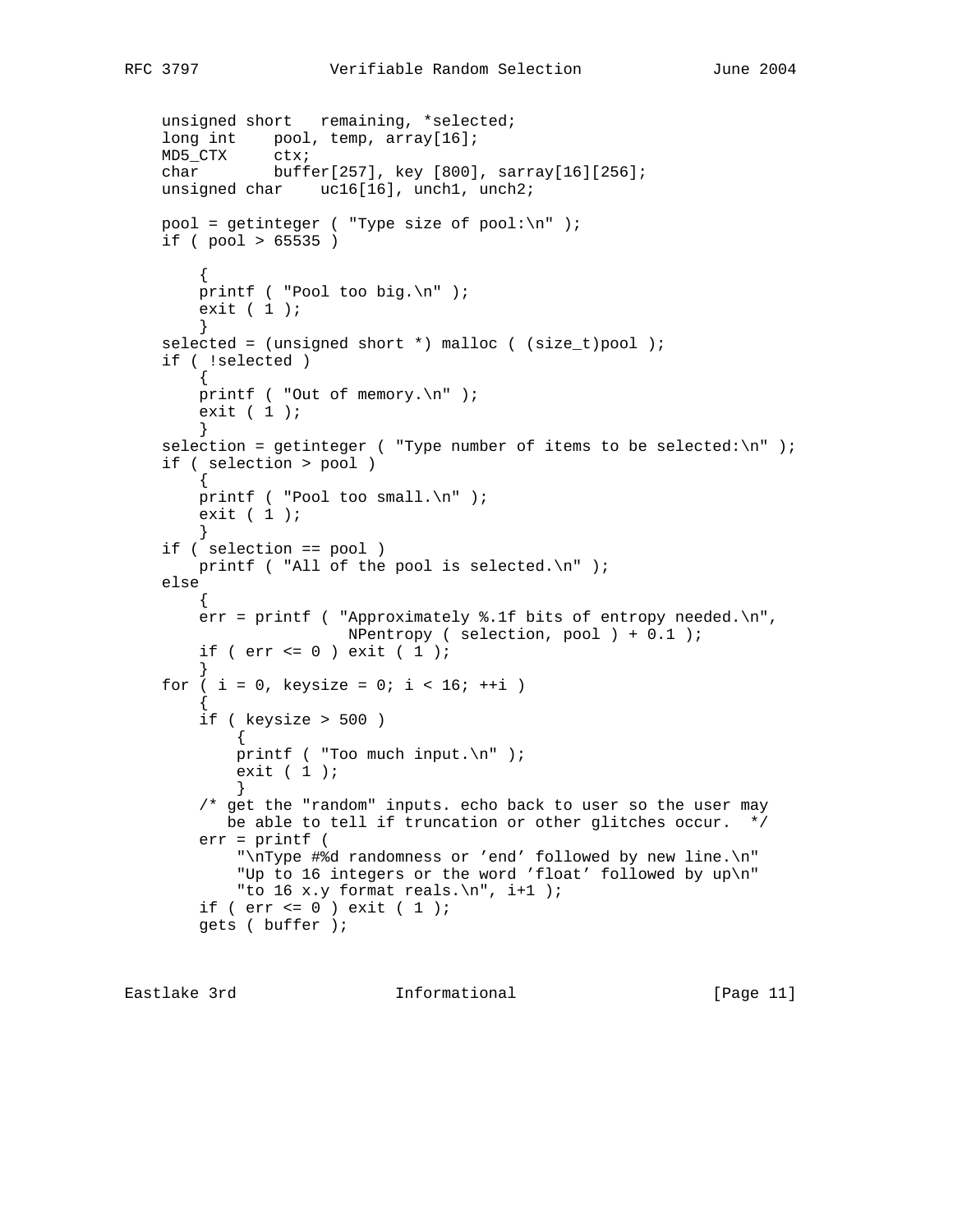```
unsigned short remaining, *selected;
    long int pool, temp, array[16];
 MD5_CTX ctx;
 char buffer[257], key [800], sarray[16][256];
    unsigned char uc16[16], unch1, unch2;
    pool = getinteger ( "Type size of pool:\n\pi" );
     if ( pool > 65535 )
\left\{ \begin{array}{c} \end{array} \right. printf ( "Pool too big.\n" );
        exit (1);
 }
    selected = (unsigned short *) malloc ( (size_t)pool );
     if ( !selected )
\left\{ \begin{array}{c} \end{array} \right. printf ( "Out of memory.\n" );
        exit (1);
 }
    selection = getinteger ( "Type number of items to be selected:\n\cdot \cdot );
     if ( selection > pool )
         {
         printf ( "Pool too small.\n" );
        exit (1);
         }
     if ( selection == pool )
        printf ( "All of the pool is selected.\n \n \begin{bmatrix}\n 1 \\
 2\n \end{bmatrix} else
         {
         err = printf ( "Approximately %.1f bits of entropy needed.\n",
                          NPentropy ( selection, pool ) + 0.1 );
        if ( err \le 0 ) exit \in 1 );
 }
    for ( i = 0, keysize = 0; i < 16; ++i )
\left\{ \begin{array}{c} \end{array} \right. if ( keysize > 500 )
             {
            printf ( "Too much input.\n" );
            exit (1);
 }
         /* get the "random" inputs. echo back to user so the user may
            be able to tell if truncation or other glitches occur. */
         err = printf (
              "\nType #%d randomness or 'end' followed by new line.\n"
              "Up to 16 integers or the word 'float' followed by up\n"
              "to 16 x.y format reals.\n", i+1 );
        if ( err \le 0 ) exit \in 1 );
         gets ( buffer );
```
Eastlake 3rd **Informational** [Page 11]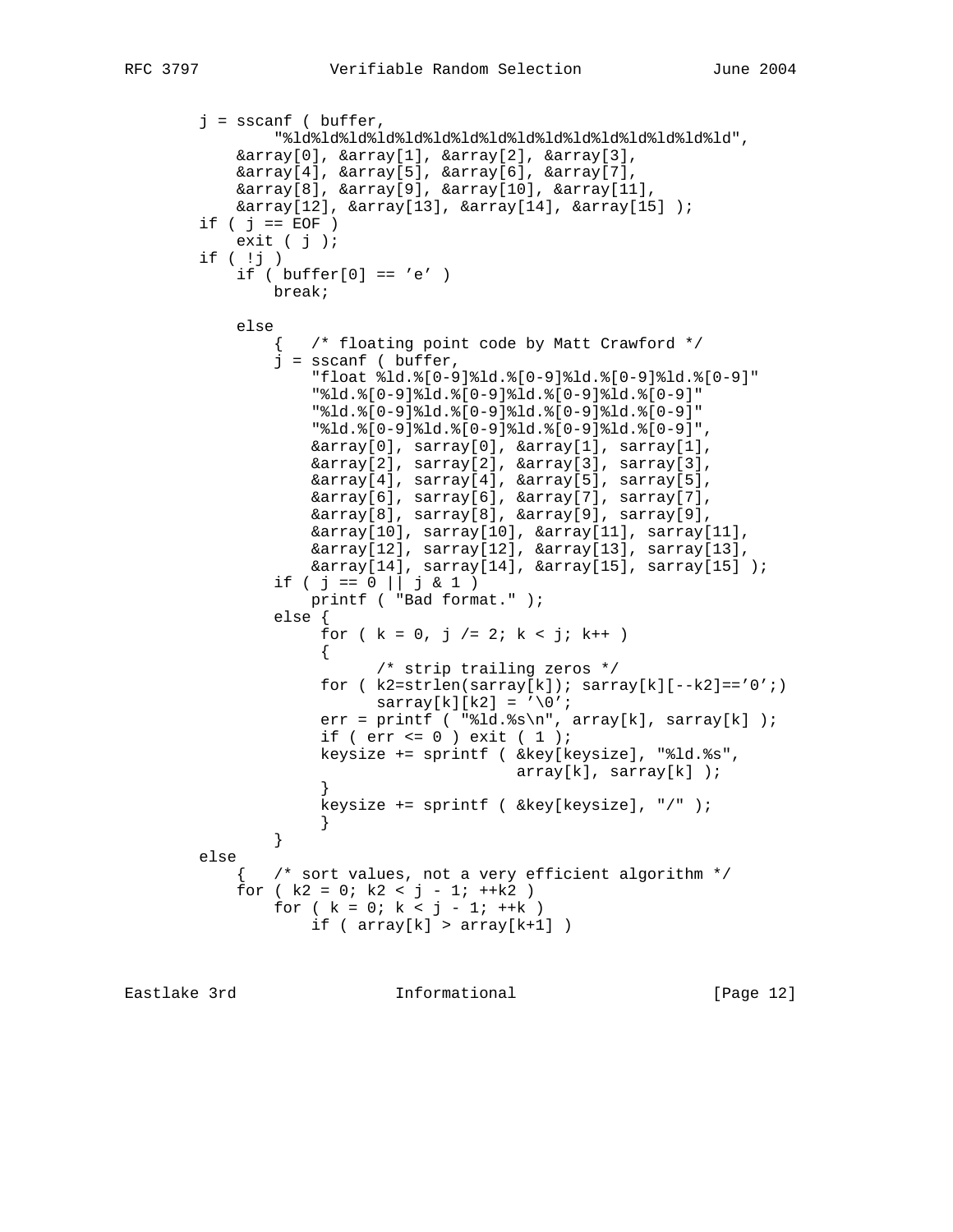```
 j = sscanf ( buffer,
                "%ld%ld%ld%ld%ld%ld%ld%ld%ld%ld%ld%ld%ld%ld%ld%ld",
            &array[0], &array[1], &array[2], &array[3],
            &array[4], &array[5], &array[6], &array[7],
            &array[8], &array[9], &array[10], &array[11],
            &array[12], &array[13], &array[14], &array[15] );
       if ( j == EOF )
           exit (j);
        if ( !j )
           if ( buffer[0] == 'e' )
                break;
            else
                  /* floating point code by Matt Crawford */
               j = sscanf ( buffer,
                   "float %ld.%[0-9]%ld.%[0-9]%ld.%[0-9]%ld.%[0-9]"
                    "%ld.%[0-9]%ld.%[0-9]%ld.%[0-9]%ld.%[0-9]"
                    "%ld.%[0-9]%ld.%[0-9]%ld.%[0-9]%ld.%[0-9]"
                    "%ld.%[0-9]%ld.%[0-9]%ld.%[0-9]%ld.%[0-9]",
                   &array[0], sarray[0], &array[1], sarray[1],
                   &array[2], sarray[2], &array[3], sarray[3],
                   &array[4], sarray[4], &array[5], sarray[5],
                   &array[6], sarray[6], &array[7], sarray[7],
                   &array[8], sarray[8], &array[9], sarray[9],
                   &array[10], sarray[10], &array[11], sarray[11],
 &array[12], sarray[12], &array[13], sarray[13],
 &array[14], sarray[14], &array[15], sarray[15] );
               if ( j == 0 || j \& 1 )
                   printf ( "Bad format." );
                else {
                   for ( k = 0, j = 2; k < j; k++ )
\{ /* strip trailing zeros */
                    for (k2=strlen(sarray[k]); sarray[k][--k2]=='0';)
                         sarray[k][k2] = \sqrt{0'i}err = printf ( "\ld.*\s\n", array[k], sarray[k] );
                    if ( err \le 0 ) exit ( 1 );
                    keysize += sprintf ( &key[keysize], "%ld.%s",
                                         array[k], sarray[k] );
 }
                    keysize += sprintf ( &key[keysize], "/" );
 }
 }
        else
               /* sort values, not a very efficient algorithm */
           for (k2 = 0; k2 < j - 1; +k2)
               for ( k = 0; k < j - 1; ++k )
                  if ( array[k] > array[k+1] )
```
Eastlake 3rd Informational [Page 12]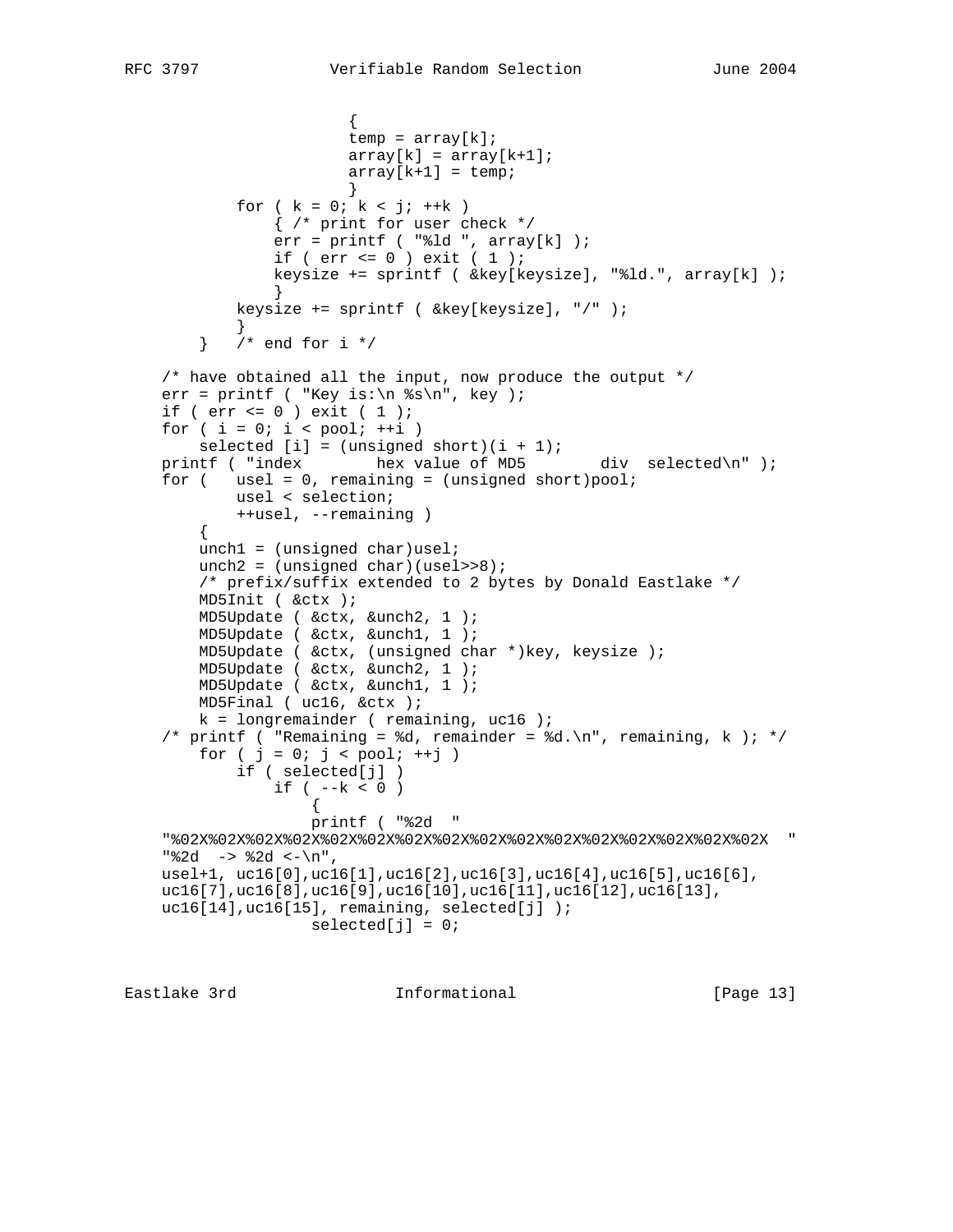```
\{temp = array[k];
                       array[k] = array[k+1];array[k+1] = temp; }
           for ( k = 0; k < j; ++k )
                { /* print for user check */
               err = print ( "%ld ", array[k] );
               if ( err \le 0 ) exit \in 1 );
                keysize += sprintf ( &key[keysize], "%ld.", array[k] );
 }
            keysize += sprintf ( &key[keysize], "/" );
 }
       } /* end for i */
    /* have obtained all the input, now produce the output */
   err = printf ( "Key is:\n \text{ks}\n", key );
    if ( err <= 0 ) exit ( 1 );
   for ( i = 0; i < pool; ++i )
       selected [i] = (unsigned short)(i + 1);printf ( "index hex value of MD5 div selected\n" );
   for ( usel = 0, remaining = (unsigned short)pool;
            usel < selection;
            ++usel, --remaining )
        {
       unch1 = (unsigned char)usel;
       unch2 = (unsigned char)(use1>>8); /* prefix/suffix extended to 2 bytes by Donald Eastlake */
        MD5Init ( &ctx );
        MD5Update ( &ctx, &unch2, 1 );
        MD5Update ( &ctx, &unch1, 1 );
        MD5Update ( &ctx, (unsigned char *)key, keysize );
        MD5Update ( &ctx, &unch2, 1 );
        MD5Update ( &ctx, &unch1, 1 );
        MD5Final ( uc16, &ctx );
       k = longremainder ( remaining, uc16 );
   /* printf ( "Remaining = %d, remainder = %d.\n", remaining, k ); */
       for ( j = 0; j < pool; ++j )
            if ( selected[j] )
               if ( - -k < 0 )
\{ printf ( "%2d "
    "%02X%02X%02X%02X%02X%02X%02X%02X%02X%02X%02X%02X%02X%02X%02X%02X "
   "82d \rightarrow 2d \leftarrow \n \begin{bmatrix} n \\ n \end{bmatrix} usel+1, uc16[0],uc16[1],uc16[2],uc16[3],uc16[4],uc16[5],uc16[6],
    uc16[7],uc16[8],uc16[9],uc16[10],uc16[11],uc16[12],uc16[13],
   uc16[14], uc16[15], remaining, selected[j] );
                   selected[j] = 0;
```

```
Eastlake 3rd               Informational             [Page 13]
```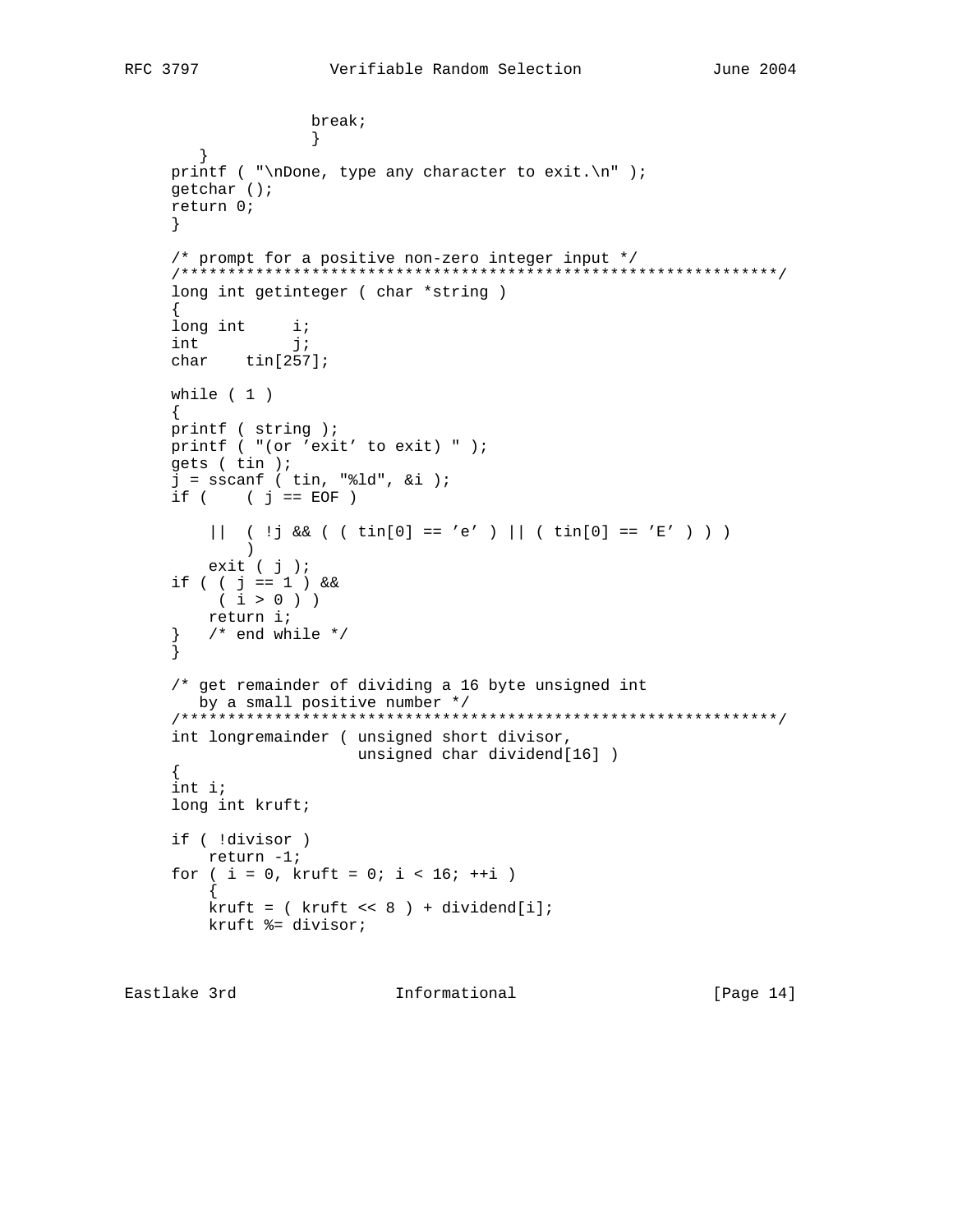```
 break;
 }
        }
    printf ( "\nDone, type any character to exit.\n" );
     getchar ();
     return 0;
     }
     /* prompt for a positive non-zero integer input */
     /****************************************************************/
     long int getinteger ( char *string )
\left\{\begin{array}{ccc} \end{array}\right\}long int i;
int j;
     char tin[257];
     while ( 1 )
     {
     printf ( string );
     printf ( "(or 'exit' to exit) " );
     gets ( tin );
    j = sscanf ( tin, "d", xi );
    if ( j == EOF )
         || ( | j \&( ( t in [0] == 'e' ) || ( t in [0] == 'E' ) ) ) )
         exit ( j );
     if ( ( j == 1 ) &&
         ( i > 0 ) )
         return i;
    } /* end while */
     }
     /* get remainder of dividing a 16 byte unsigned int
       by a small positive number */
     /****************************************************************/
     int longremainder ( unsigned short divisor,
                         unsigned char dividend[16] )
     {
     int i;
     long int kruft;
     if ( !divisor )
        return -1;
    for ( i = 0, kruft = 0; i < 16; ++i )
\{kruft = ( kruft << 8 ) + dividend[i]; kruft %= divisor;
```
Eastlake 3rd Informational [Page 14]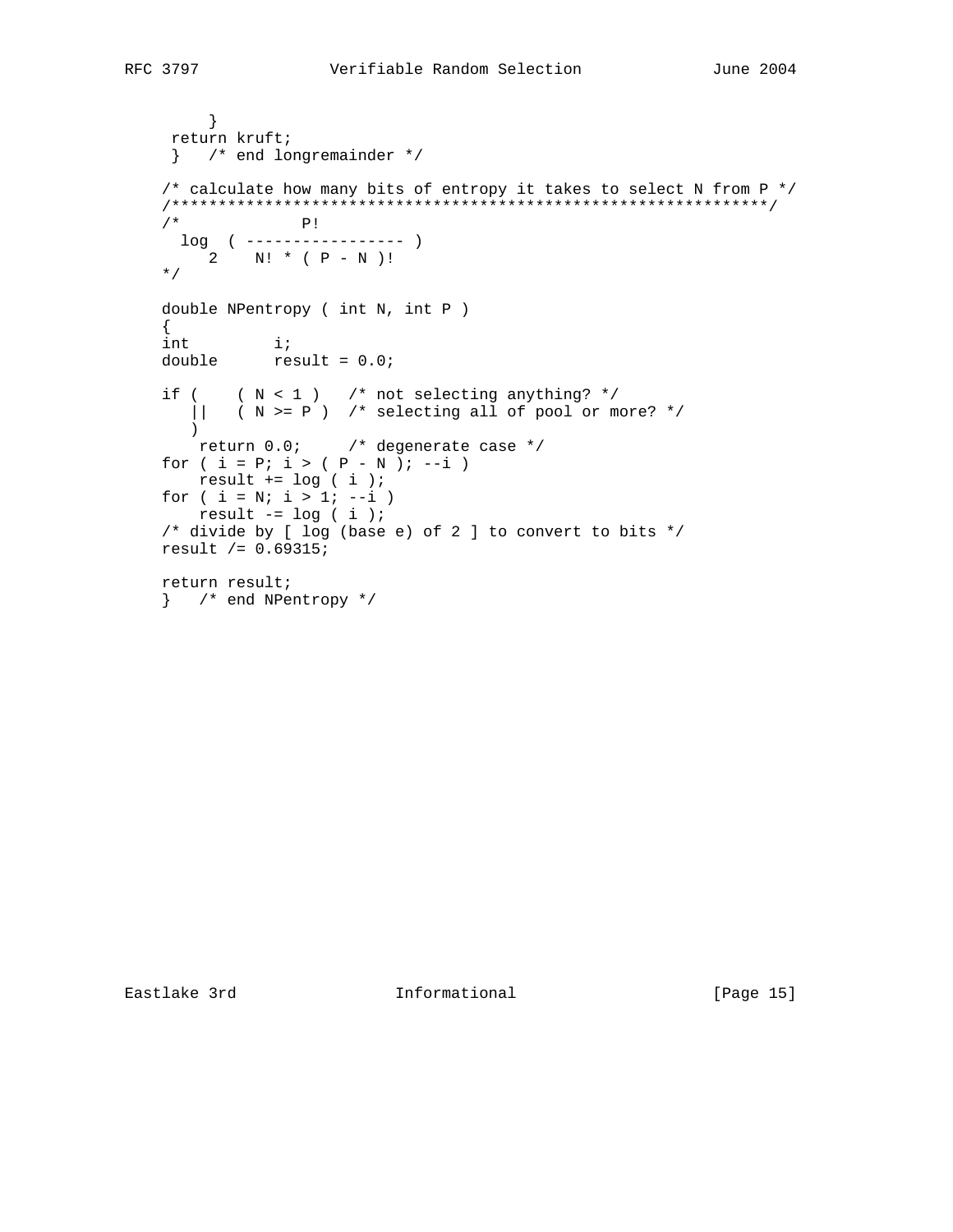```
 }
     return kruft;
     } /* end longremainder */
   /* calculate how many bits of entropy it takes to select N from P */ /****************************************************************/
   / * P!
 log ( ----------------- )
2 N! * ( P - N )!
    */
    double NPentropy ( int N, int P )
   \{int i;
double result = 0.0;
   if ( (N < 1) /* not selecting anything? */
     || ( N >= P ) /* selecting all of pool or more? */
       )
      return 0.0; /* degenerate case */
   for ( i = P; i > (P - N); --i )
      result += log ( i );
   for ( i = N; i > 1; --i )
      result -= log ( i );
    /* divide by [ log (base e) of 2 ] to convert to bits */
    result /= 0.69315;
    return result;
    } /* end NPentropy */
```
Eastlake 3rd **Informational** [Page 15]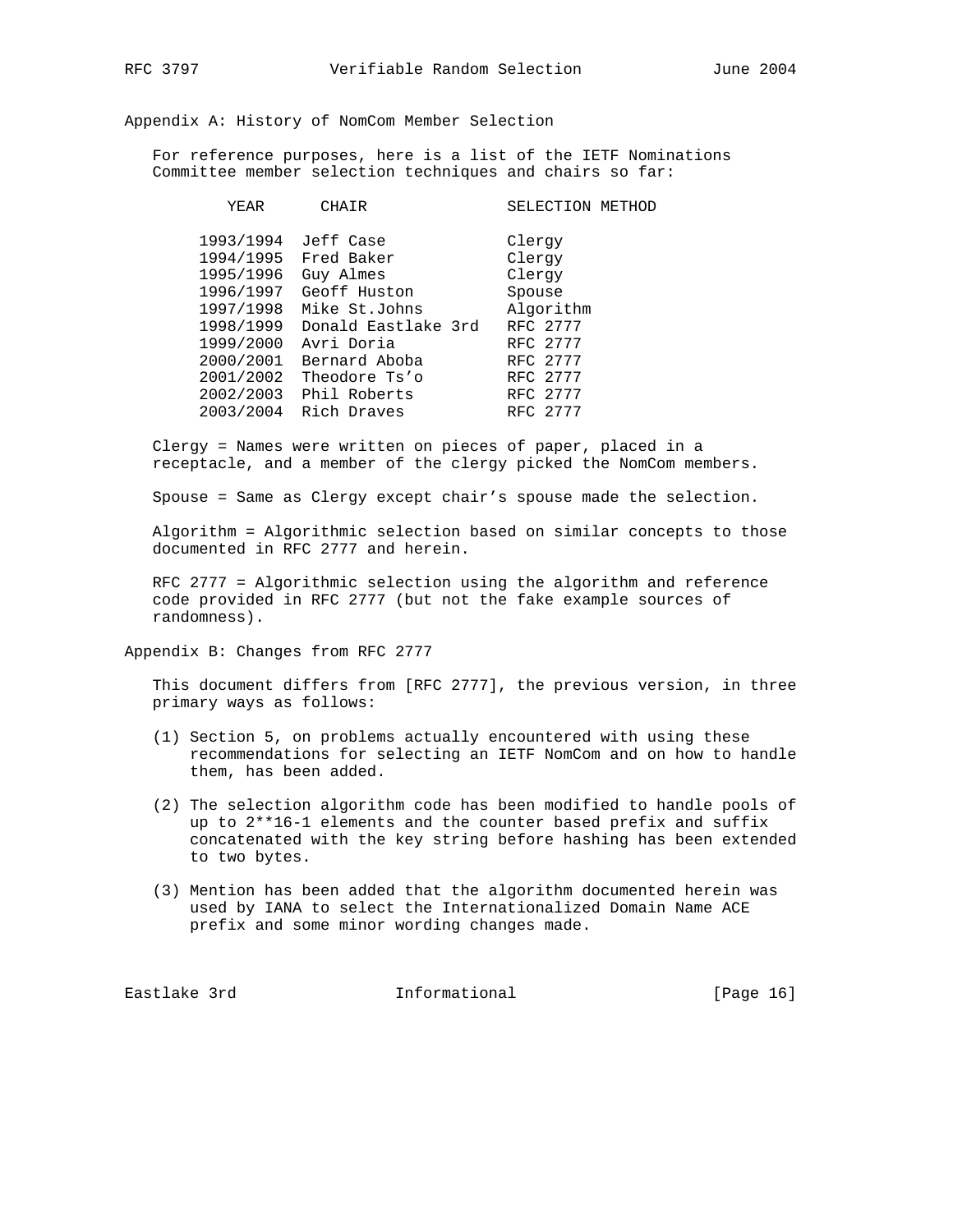Appendix A: History of NomCom Member Selection

 For reference purposes, here is a list of the IETF Nominations Committee member selection techniques and chairs so far:

| YEAR      | CHAIR                  | SELECTION METHOD |
|-----------|------------------------|------------------|
| 1993/1994 | Jeff Case              | Clergy           |
| 1994/1995 | Fred Baker             | Clergy           |
| 1995/1996 | Guy Almes              | Clergy           |
| 1996/1997 | Geoff Huston           | Spouse           |
| 1997/1998 | Mike St.Johns          | Algorithm        |
| 1998/1999 | Donald Eastlake 3rd    | RFC 2777         |
| 1999/2000 | Avri Doria             | RFC 2777         |
| 2000/2001 | Bernard Aboba          | RFC 2777         |
| 2001/2002 | Theodore Ts'o          | RFC 2777         |
|           | 2002/2003 Phil Roberts | RFC 2777         |
|           | 2003/2004 Rich Draves  | RFC 2777         |

 Clergy = Names were written on pieces of paper, placed in a receptacle, and a member of the clergy picked the NomCom members.

Spouse = Same as Clergy except chair's spouse made the selection.

 Algorithm = Algorithmic selection based on similar concepts to those documented in RFC 2777 and herein.

 RFC 2777 = Algorithmic selection using the algorithm and reference code provided in RFC 2777 (but not the fake example sources of randomness).

Appendix B: Changes from RFC 2777

 This document differs from [RFC 2777], the previous version, in three primary ways as follows:

- (1) Section 5, on problems actually encountered with using these recommendations for selecting an IETF NomCom and on how to handle them, has been added.
- (2) The selection algorithm code has been modified to handle pools of up to 2\*\*16-1 elements and the counter based prefix and suffix concatenated with the key string before hashing has been extended to two bytes.
- (3) Mention has been added that the algorithm documented herein was used by IANA to select the Internationalized Domain Name ACE prefix and some minor wording changes made.

Eastlake 3rd **Informational** [Page 16]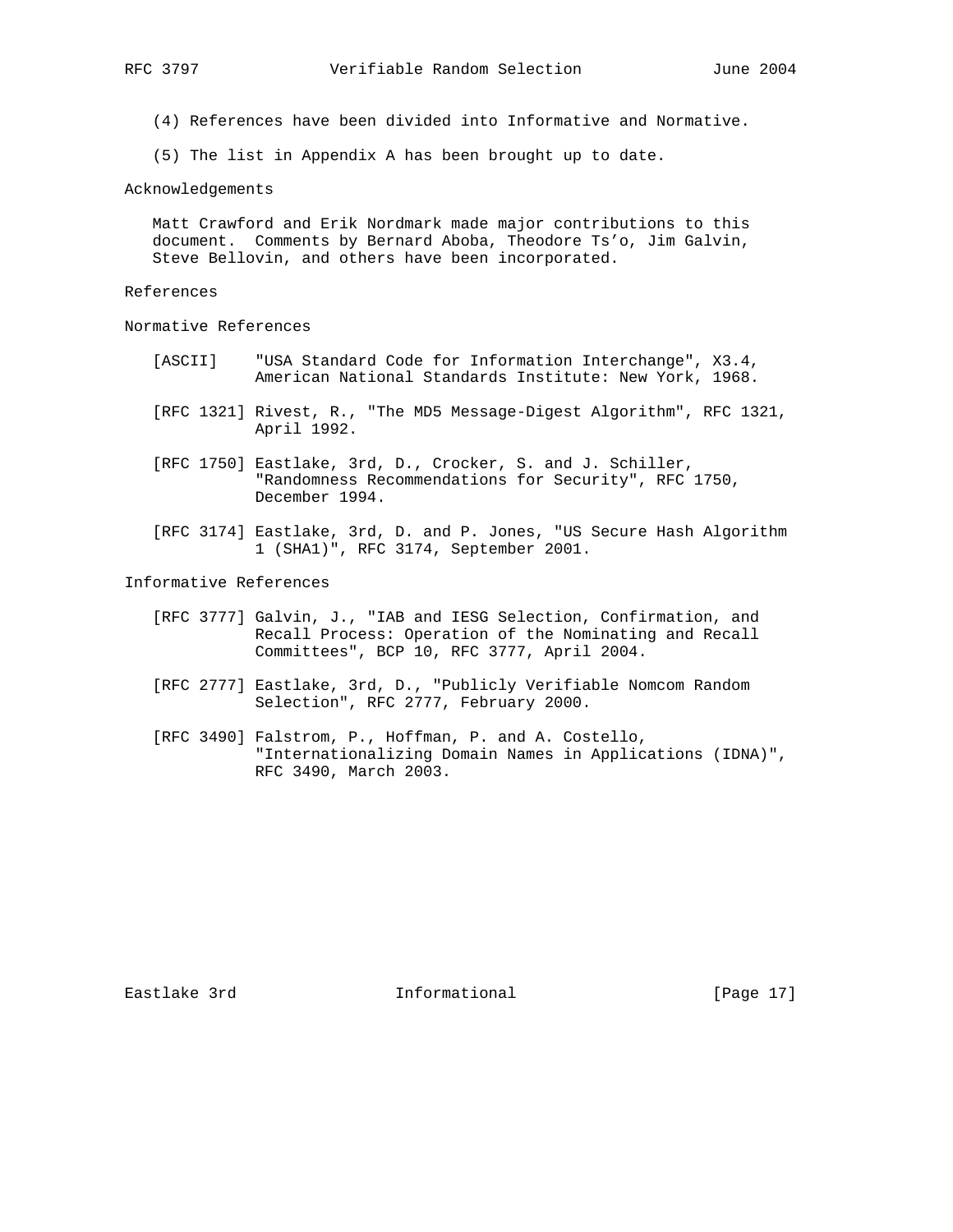- (4) References have been divided into Informative and Normative.
- (5) The list in Appendix A has been brought up to date.

Acknowledgements

 Matt Crawford and Erik Nordmark made major contributions to this document. Comments by Bernard Aboba, Theodore Ts'o, Jim Galvin, Steve Bellovin, and others have been incorporated.

References

Normative References

- [ASCII] "USA Standard Code for Information Interchange", X3.4, American National Standards Institute: New York, 1968.
- [RFC 1321] Rivest, R., "The MD5 Message-Digest Algorithm", RFC 1321, April 1992.
- [RFC 1750] Eastlake, 3rd, D., Crocker, S. and J. Schiller, "Randomness Recommendations for Security", RFC 1750, December 1994.
- [RFC 3174] Eastlake, 3rd, D. and P. Jones, "US Secure Hash Algorithm 1 (SHA1)", RFC 3174, September 2001.

Informative References

- [RFC 3777] Galvin, J., "IAB and IESG Selection, Confirmation, and Recall Process: Operation of the Nominating and Recall Committees", BCP 10, RFC 3777, April 2004.
- [RFC 2777] Eastlake, 3rd, D., "Publicly Verifiable Nomcom Random Selection", RFC 2777, February 2000.
- [RFC 3490] Falstrom, P., Hoffman, P. and A. Costello, "Internationalizing Domain Names in Applications (IDNA)", RFC 3490, March 2003.

Eastlake 3rd **Informational** [Page 17]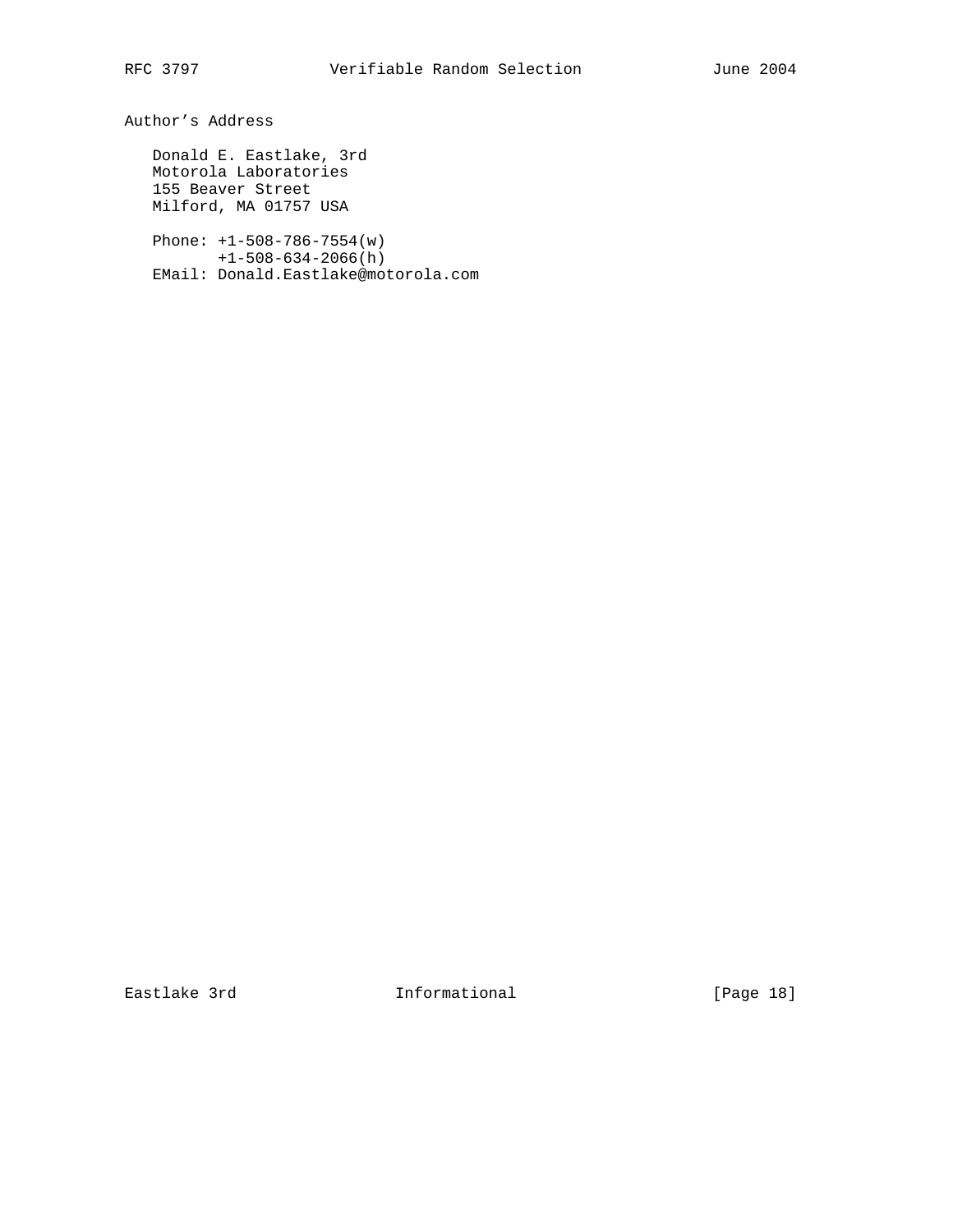Author's Address

 Donald E. Eastlake, 3rd Motorola Laboratories 155 Beaver Street Milford, MA 01757 USA

 Phone: +1-508-786-7554(w) +1-508-634-2066(h) EMail: Donald.Eastlake@motorola.com